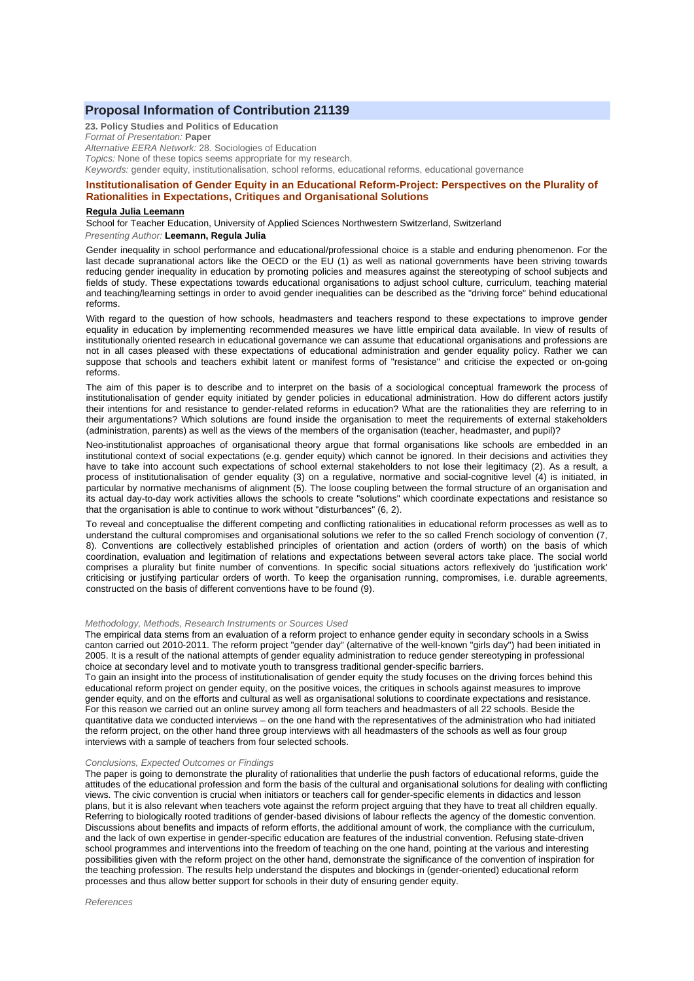# **Proposal Information of Contribution 21139**

**23. Policy Studies and Politics of Education** *Format of Presentation:* **Paper** *Alternative EERA Network:* 28. Sociologies of Education *Topics:* None of these topics seems appropriate for my research. *Keywords:* gender equity, institutionalisation, school reforms, educational reforms, educational governance

# **Institutionalisation of Gender Equity in an Educational Reform-Project: Perspectives on the Plurality of Rationalities in Expectations, Critiques and Organisational Solutions**

#### **Regula Julia Leemann**

School for Teacher Education, University of Applied Sciences Northwestern Switzerland, Switzerland *Presenting Author:* **Leemann, Regula Julia**

Gender inequality in school performance and educational/professional choice is a stable and enduring phenomenon. For the last decade supranational actors like the OECD or the EU (1) as well as national governments have been striving towards reducing gender inequality in education by promoting policies and measures against the stereotyping of school subjects and fields of study. These expectations towards educational organisations to adjust school culture, curriculum, teaching material and teaching/learning settings in order to avoid gender inequalities can be described as the "driving force" behind educational reforms.

With regard to the question of how schools, headmasters and teachers respond to these expectations to improve gender equality in education by implementing recommended measures we have little empirical data available. In view of results of institutionally oriented research in educational governance we can assume that educational organisations and professions are not in all cases pleased with these expectations of educational administration and gender equality policy. Rather we can suppose that schools and teachers exhibit latent or manifest forms of "resistance" and criticise the expected or on-going reforms.

The aim of this paper is to describe and to interpret on the basis of a sociological conceptual framework the process of institutionalisation of gender equity initiated by gender policies in educational administration. How do different actors justify their intentions for and resistance to gender-related reforms in education? What are the rationalities they are referring to in their argumentations? Which solutions are found inside the organisation to meet the requirements of external stakeholders (administration, parents) as well as the views of the members of the organisation (teacher, headmaster, and pupil)?

Neo-institutionalist approaches of organisational theory argue that formal organisations like schools are embedded in an institutional context of social expectations (e.g. gender equity) which cannot be ignored. In their decisions and activities they have to take into account such expectations of school external stakeholders to not lose their legitimacy (2). As a result, a process of institutionalisation of gender equality (3) on a regulative, normative and social-cognitive level (4) is initiated, in particular by normative mechanisms of alignment (5). The loose coupling between the formal structure of an organisation and its actual day-to-day work activities allows the schools to create "solutions" which coordinate expectations and resistance so that the organisation is able to continue to work without "disturbances" (6, 2).

To reveal and conceptualise the different competing and conflicting rationalities in educational reform processes as well as to understand the cultural compromises and organisational solutions we refer to the so called French sociology of convention (7, 8). Conventions are collectively established principles of orientation and action (orders of worth) on the basis of which coordination, evaluation and legitimation of relations and expectations between several actors take place. The social world comprises a plurality but finite number of conventions. In specific social situations actors reflexively do 'justification work' criticising or justifying particular orders of worth. To keep the organisation running, compromises, i.e. durable agreements, constructed on the basis of different conventions have to be found (9).

### *Methodology, Methods, Research Instruments or Sources Used*

The empirical data stems from an evaluation of a reform project to enhance gender equity in secondary schools in a Swiss canton carried out 2010-2011. The reform project "gender day" (alternative of the well-known "girls day") had been initiated in 2005. It is a result of the national attempts of gender equality administration to reduce gender stereotyping in professional choice at secondary level and to motivate youth to transgress traditional gender-specific barriers.

To gain an insight into the process of institutionalisation of gender equity the study focuses on the driving forces behind this educational reform project on gender equity, on the positive voices, the critiques in schools against measures to improve gender equity, and on the efforts and cultural as well as organisational solutions to coordinate expectations and resistance. For this reason we carried out an online survey among all form teachers and headmasters of all 22 schools. Beside the quantitative data we conducted interviews – on the one hand with the representatives of the administration who had initiated the reform project, on the other hand three group interviews with all headmasters of the schools as well as four group interviews with a sample of teachers from four selected schools.

### *Conclusions, Expected Outcomes or Findings*

The paper is going to demonstrate the plurality of rationalities that underlie the push factors of educational reforms, guide the attitudes of the educational profession and form the basis of the cultural and organisational solutions for dealing with conflicting views. The civic convention is crucial when initiators or teachers call for gender-specific elements in didactics and lesson plans, but it is also relevant when teachers vote against the reform project arguing that they have to treat all children equally. Referring to biologically rooted traditions of gender-based divisions of labour reflects the agency of the domestic convention. Discussions about benefits and impacts of reform efforts, the additional amount of work, the compliance with the curriculum, and the lack of own expertise in gender-specific education are features of the industrial convention. Refusing state-driven school programmes and interventions into the freedom of teaching on the one hand, pointing at the various and interesting possibilities given with the reform project on the other hand, demonstrate the significance of the convention of inspiration for the teaching profession. The results help understand the disputes and blockings in (gender-oriented) educational reform processes and thus allow better support for schools in their duty of ensuring gender equity.